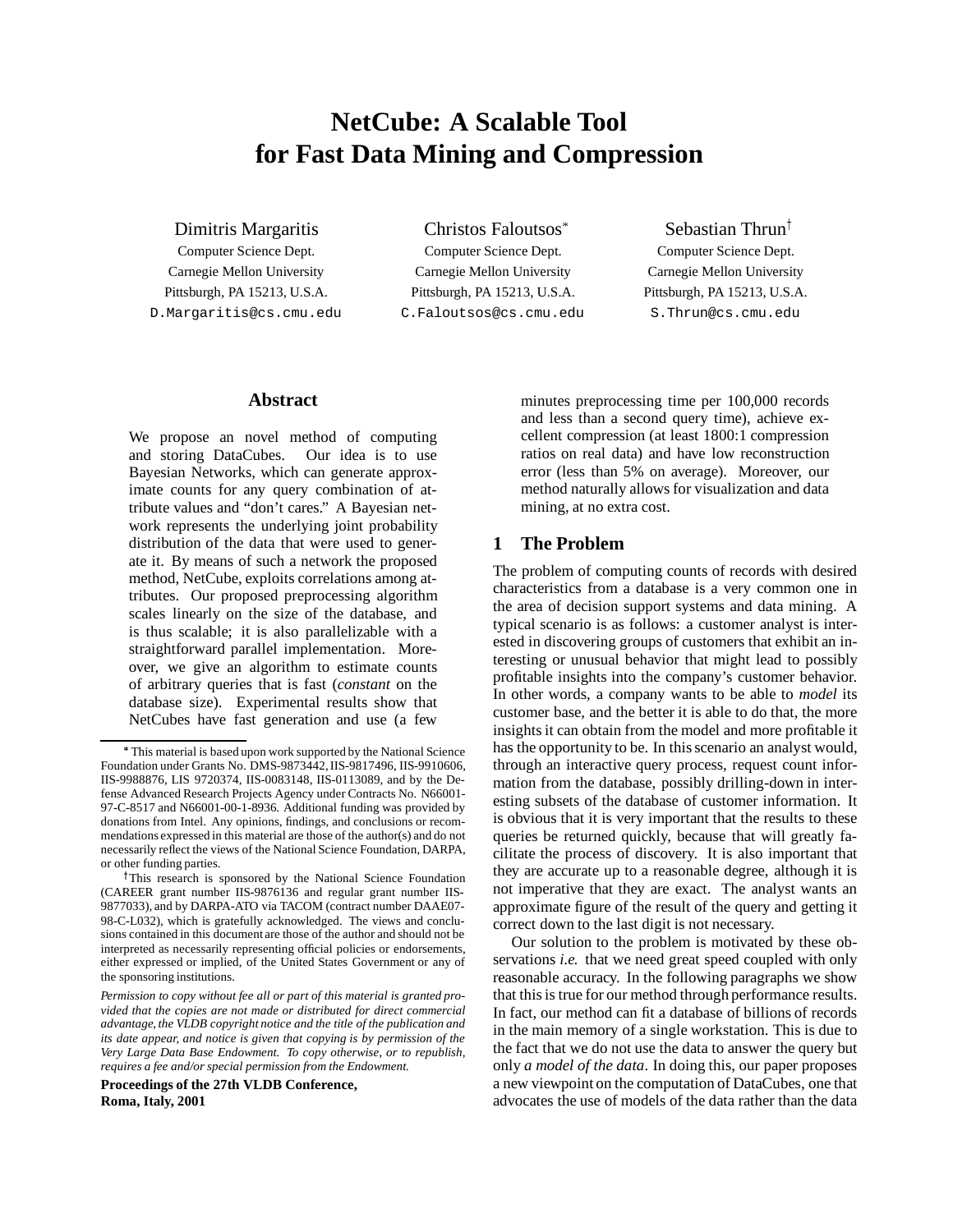# **NetCube: A Scalable Tool for Fast Data Mining and Compression**

Dimitris Margaritis

Computer Science Dept. Carnegie Mellon University Pittsburgh, PA 15213, U.S.A. D.Margaritis@cs.cmu.edu

Christos Faloutsos Computer Science Dept. Carnegie Mellon University Pittsburgh, PA 15213, U.S.A. C.Faloutsos@cs.cmu.edu

# Sebastian Thrun<sup>†</sup>

Computer Science Dept. Carnegie Mellon University Pittsburgh, PA 15213, U.S.A. S.Thrun@cs.cmu.edu

# **Abstract**

We propose an novel method of computing and storing DataCubes. Our idea is to use Bayesian Networks, which can generate approximate counts for any query combination of attribute values and "don't cares." A Bayesian network represents the underlying joint probability distribution of the data that were used to generate it. By means of such a network the proposed method, NetCube, exploits correlations among attributes. Our proposed preprocessing algorithm scales linearly on the size of the database, and is thus scalable; it is also parallelizable with a straightforward parallel implementation. Moreover, we give an algorithm to estimate counts of arbitrary queries that is fast (*constant* on the database size). Experimental results show that NetCubes have fast generation and use (a few

**Proceedings of the 27th VLDB Conference, Roma, Italy, 2001**

minutes preprocessing time per 100,000 records and less than a second query time), achieve excellent compression (at least 1800:1 compression ratios on real data) and have low reconstruction error (less than 5% on average). Moreover, our method naturally allows for visualization and data mining, at no extra cost.

# **1 The Problem**

The problem of computing counts of records with desired characteristics from a database is a very common one in the area of decision support systems and data mining. A typical scenario is as follows: a customer analyst is interested in discovering groups of customers that exhibit an interesting or unusual behavior that might lead to possibly profitable insights into the company's customer behavior. In other words, a company wants to be able to *model* its customer base, and the better it is able to do that, the more insights it can obtain from the model and more profitable it has the opportunity to be. In this scenario an analyst would, through an interactive query process, request count information from the database, possibly drilling-down in interesting subsets of the database of customer information. It is obvious that it is very important that the results to these queries be returned quickly, because that will greatly facilitate the process of discovery. It is also important that they are accurate up to a reasonable degree, although it is not imperative that they are exact. The analyst wants an approximate figure of the result of the query and getting it correct down to the last digit is not necessary.

Our solution to the problem is motivated by these observations *i.e.* that we need great speed coupled with only reasonable accuracy. In the following paragraphs we show that this is true for our method through performance results. In fact, our method can fit a database of billions of records in the main memory of a single workstation. This is due to the fact that we do not use the data to answer the query but only *a model of the data*. In doing this, our paper proposes a new viewpoint on the computation of DataCubes, one that advocates the use of models of the data rather than the data

This material is based upon work supported by the National Science Foundation under Grants No. DMS-9873442, IIS-9817496, IIS-9910606, IIS-9988876, LIS 9720374, IIS-0083148, IIS-0113089, and by the Defense Advanced Research Projects Agency under Contracts No. N66001- 97-C-8517 and N66001-00-1-8936. Additional funding was provided by donations from Intel. Any opinions, findings, and conclusions or recommendations expressed in this material are those of the author(s) and do not necessarily reflect the views of the National Science Foundation, DARPA, or other funding parties.

<sup>&</sup>lt;sup>†</sup>This research is sponsored by the National Science Foundation (CAREER grant number IIS-9876136 and regular grant number IIS-9877033), and by DARPA-ATO via TACOM (contract number DAAE07- 98-C-L032), which is gratefully acknowledged. The views and conclusions contained in this document are those of the author and should not be interpreted as necessarily representing official policies or endorsements, either expressed or implied, of the United States Government or any of the sponsoring institutions.

*Permission to copy without fee all or part of this material is granted provided that the copies are not made or distributed for direct commercial advantage, the VLDB copyright notice and the title of the publication and its date appear, and notice is given that copying is by permission of the Very Large Data Base Endowment. To copy otherwise, or to republish, requires a fee and/or special permission from the Endowment.*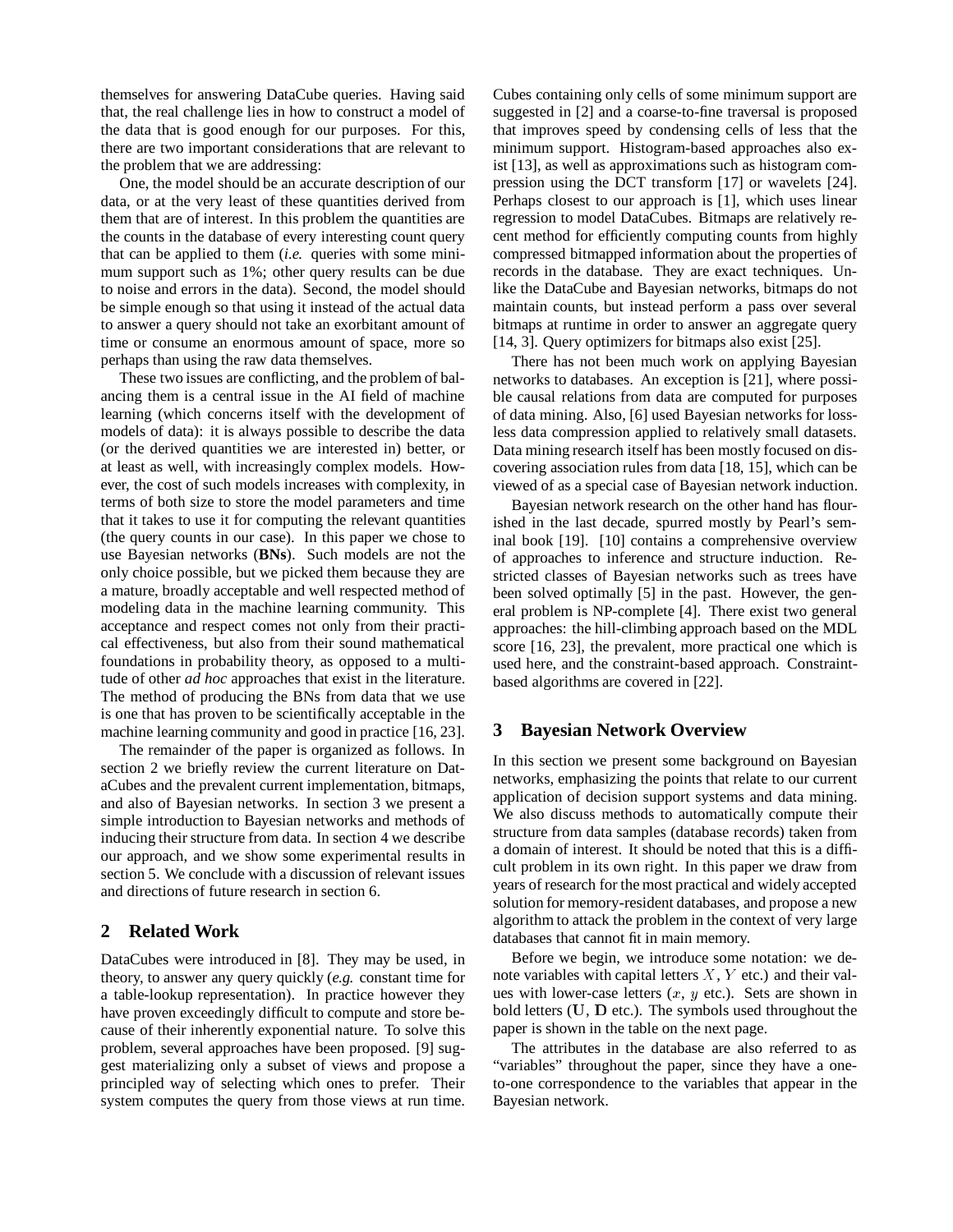themselves for answering DataCube queries. Having said that, the real challenge lies in how to construct a model of the data that is good enough for our purposes. For this, there are two important considerations that are relevant to the problem that we are addressing:

One, the model should be an accurate description of our data, or at the very least of these quantities derived from them that are of interest. In this problem the quantities are the counts in the database of every interesting count query that can be applied to them (*i.e.* queries with some minimum support such as 1%; other query results can be due to noise and errors in the data). Second, the model should be simple enough so that using it instead of the actual data to answer a query should not take an exorbitant amount of time or consume an enormous amount of space, more so perhaps than using the raw data themselves.

These two issues are conflicting, and the problem of balancing them is a central issue in the AI field of machine learning (which concerns itself with the development of models of data): it is always possible to describe the data (or the derived quantities we are interested in) better, or at least as well, with increasingly complex models. However, the cost of such models increases with complexity, in terms of both size to store the model parameters and time that it takes to use it for computing the relevant quantities (the query counts in our case). In this paper we chose to use Bayesian networks (**BNs**). Such models are not the only choice possible, but we picked them because they are a mature, broadly acceptable and well respected method of modeling data in the machine learning community. This acceptance and respect comes not only from their practical effectiveness, but also from their sound mathematical foundations in probability theory, as opposed to a multitude of other *ad hoc* approaches that exist in the literature. The method of producing the BNs from data that we use is one that has proven to be scientifically acceptable in the machine learning community and good in practice [16, 23].

The remainder of the paper is organized as follows. In section 2 we briefly review the current literature on DataCubes and the prevalent current implementation, bitmaps, and also of Bayesian networks. In section 3 we present a simple introduction to Bayesian networks and methods of inducing their structure from data. In section 4 we describe our approach, and we show some experimental results in section 5. We conclude with a discussion of relevant issues and directions of future research in section 6.

# **2 Related Work**

DataCubes were introduced in [8]. They may be used, in theory, to answer any query quickly (*e.g.* constant time for a table-lookup representation). In practice however they have proven exceedingly difficult to compute and store because of their inherently exponential nature. To solve this problem, several approaches have been proposed. [9] suggest materializing only a subset of views and propose a principled way of selecting which ones to prefer. Their system computes the query from those views at run time.

Cubes containing only cells of some minimum support are suggested in [2] and a coarse-to-fine traversal is proposed that improves speed by condensing cells of less that the minimum support. Histogram-based approaches also exist [13], as well as approximations such as histogram compression using the DCT transform [17] or wavelets [24]. Perhaps closest to our approach is [1], which uses linear regression to model DataCubes. Bitmaps are relatively recent method for efficiently computing counts from highly compressed bitmapped information about the properties of records in the database. They are exact techniques. Unlike the DataCube and Bayesian networks, bitmaps do not maintain counts, but instead perform a pass over several bitmaps at runtime in order to answer an aggregate query [14, 3]. Query optimizers for bitmaps also exist [25].

There has not been much work on applying Bayesian networks to databases. An exception is [21], where possible causal relations from data are computed for purposes of data mining. Also, [6] used Bayesian networks for lossless data compression applied to relatively small datasets. Data mining research itself has been mostly focused on discovering association rules from data [18, 15], which can be viewed of as a special case of Bayesian network induction.

Bayesian network research on the other hand has flourished in the last decade, spurred mostly by Pearl's seminal book [19]. [10] contains a comprehensive overview of approaches to inference and structure induction. Restricted classes of Bayesian networks such as trees have been solved optimally [5] in the past. However, the general problem is NP-complete [4]. There exist two general approaches: the hill-climbing approach based on the MDL score [16, 23], the prevalent, more practical one which is used here, and the constraint-based approach. Constraintbased algorithms are covered in [22].

# **3 Bayesian Network Overview**

In this section we present some background on Bayesian networks, emphasizing the points that relate to our current application of decision support systems and data mining. We also discuss methods to automatically compute their structure from data samples (database records) taken from a domain of interest. It should be noted that this is a difficult problem in its own right. In this paper we draw from years of research for the most practical and widely accepted solution for memory-resident databases, and propose a new algorithm to attack the problem in the context of very large databases that cannot fit in main memory.

Before we begin, we introduce some notation: we denote variables with capital letters  $X$ ,  $Y$  etc.) and their values with lower-case letters  $(x, y)$  etc.). Sets are shown in bold letters (U, <sup>D</sup> etc.). The symbols used throughout the paper is shown in the table on the next page.

The attributes in the database are also referred to as "variables" throughout the paper, since they have a oneto-one correspondence to the variables that appear in the Bayesian network.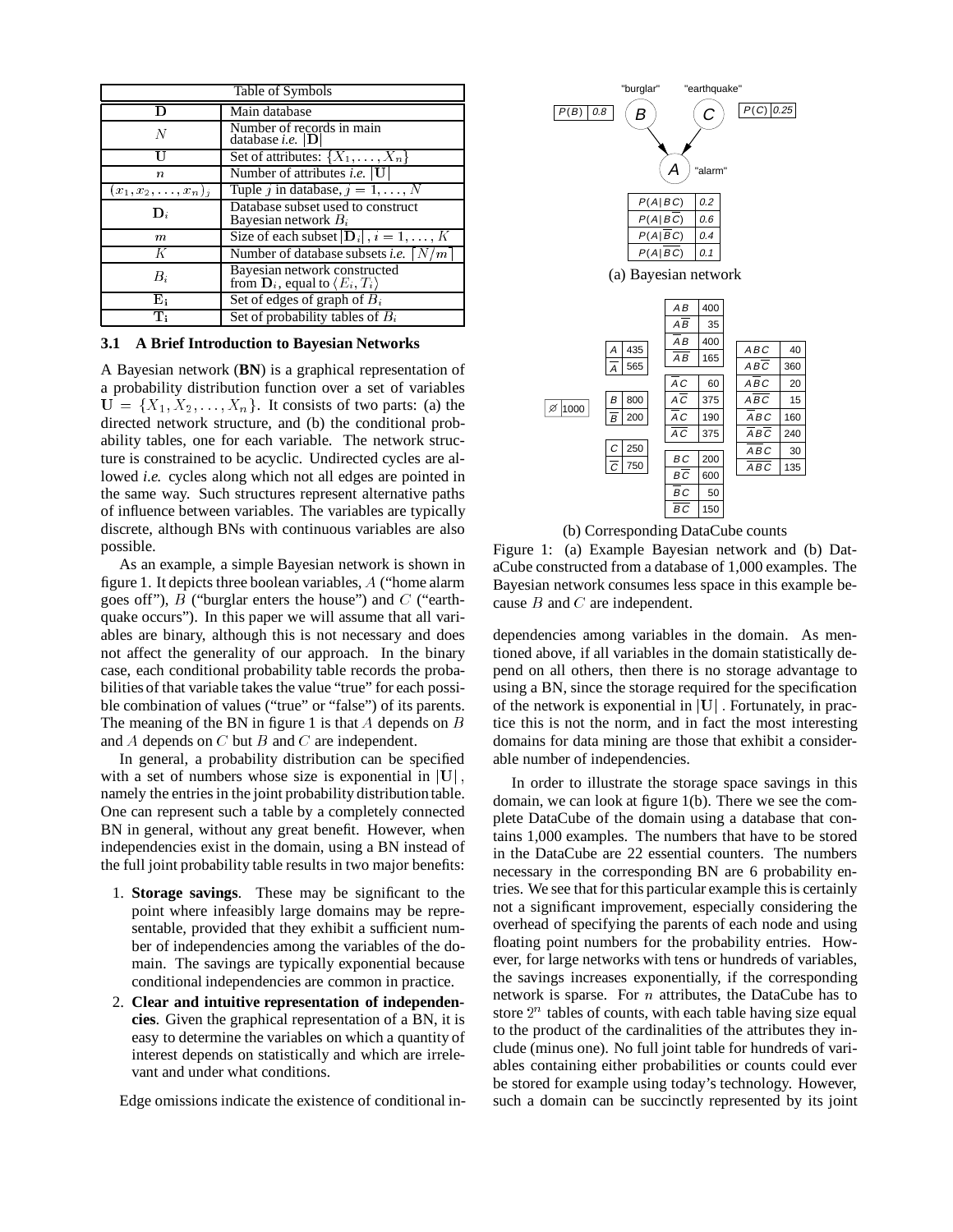| Table of Symbols          |                                                                                           |  |  |  |  |
|---------------------------|-------------------------------------------------------------------------------------------|--|--|--|--|
| D                         | Main database                                                                             |  |  |  |  |
| N                         | Number of records in main<br>database <i>i.e.</i> $ D $                                   |  |  |  |  |
| П                         | Set of attributes: $\{X_1, \ldots, X_n\}$                                                 |  |  |  |  |
| n                         | Number of attributes <i>i.e.</i> $\mathbf{U}$                                             |  |  |  |  |
| $x_1, x_2, \ldots, x_n$ j | Tuple j in database, $j = 1, , N$                                                         |  |  |  |  |
| $\mathbf{D}_{i}$          | Database subset used to construct<br>Bayesian network $B_i$                               |  |  |  |  |
| m                         | Size of each subset $ \mathbf{D}_i , i = 1, , K$                                          |  |  |  |  |
| Κ                         | Number of database subsets <i>i.e.</i> $\left\lfloor N/m \right\rfloor$                   |  |  |  |  |
| В,                        | Bayesian network constructed<br>from $\mathbf{D}_i$ , equal to $\langle E_i, T_i \rangle$ |  |  |  |  |
| ${\bf E_i}$               | Set of edges of graph of $B_i$                                                            |  |  |  |  |
| T:                        | Set of probability tables of $B_i$                                                        |  |  |  |  |

#### **3.1 A Brief Introduction to Bayesian Networks**

A Bayesian network (**BN**) is a graphical representation of a probability distribution function over a set of variables  $U = \{X_1, X_2, \ldots, X_n\}$ . It consists of two parts: (a) the directed network structure, and (b) the conditional probability tables, one for each variable. The network structure is constrained to be acyclic. Undirected cycles are allowed *i.e.* cycles along which not all edges are pointed in the same way. Such structures represent alternative paths of influence between variables. The variables are typically discrete, although BNs with continuous variables are also possible.

As an example, a simple Bayesian network is shown in figure 1. It depicts three boolean variables, A ("home alarm goes off"),  $B$  ("burglar enters the house") and  $C$  ("earthquake occurs"). In this paper we will assume that all variables are binary, although this is not necessary and does not affect the generality of our approach. In the binary case, each conditional probability table records the probabilities of that variable takes the value "true" for each possible combination of values ("true" or "false") of its parents. The meaning of the BN in figure 1 is that  $A$  depends on  $B$ and  $A$  depends on  $C$  but  $B$  and  $C$  are independent.

In general, a probability distribution can be specified with a set of numbers whose size is exponential in  $|U|$ , namely the entries in the joint probability distributiontable. One can represent such a table by a completely connected BN in general, without any great benefit. However, when independencies exist in the domain, using a BN instead of the full joint probability table results in two major benefits:

- 1. **Storage savings**. These may be significant to the point where infeasibly large domains may be representable, provided that they exhibit a sufficient number of independencies among the variables of the domain. The savings are typically exponential because conditional independencies are common in practice.
- 2. **Clear and intuitive representation of independencies**. Given the graphical representation of a BN, it is easy to determine the variables on which a quantity of interest depends on statistically and which are irrelevant and under what conditions.

Edge omissions indicate the existence of conditional in-



(b) Corresponding DataCube counts

Figure 1: (a) Example Bayesian network and (b) DataCube constructed from a database of 1,000 examples. The Bayesian network consumes less space in this example because B and C are independent.

dependencies among variables in the domain. As mentioned above, if all variables in the domain statistically depend on all others, then there is no storage advantage to using a BN, since the storage required for the specification of the network is exponential in  $|U|$ . Fortunately, in practice this is not the norm, and in fact the most interesting domains for data mining are those that exhibit a considerable number of independencies.

In order to illustrate the storage space savings in this domain, we can look at figure 1(b). There we see the complete DataCube of the domain using a database that contains 1,000 examples. The numbers that have to be stored in the DataCube are 22 essential counters. The numbers necessary in the corresponding BN are 6 probability entries. We see that for this particular example this is certainly not a significant improvement, especially considering the overhead of specifying the parents of each node and using floating point numbers for the probability entries. However, for large networks with tens or hundreds of variables, the savings increases exponentially, if the corresponding network is sparse. For <sup>n</sup> attributes, the DataCube has to store  $2<sup>n</sup>$  tables of counts, with each table having size equal to the product of the cardinalities of the attributes they include (minus one). No full joint table for hundreds of variables containing either probabilities or counts could ever be stored for example using today's technology. However, such a domain can be succinctly represented by its joint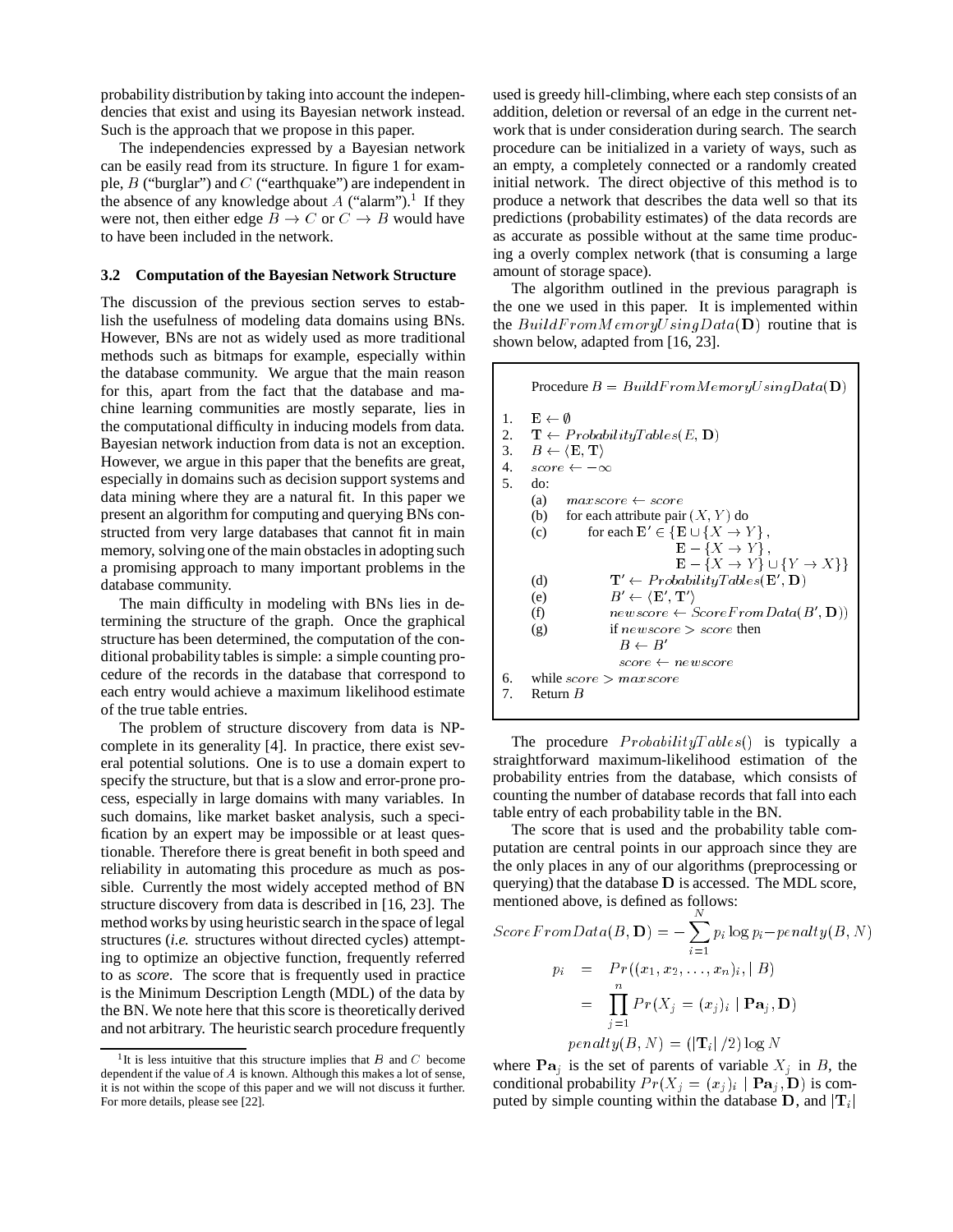probability distribution by taking into account the independencies that exist and using its Bayesian network instead. Such is the approach that we propose in this paper.

The independencies expressed by a Bayesian network can be easily read from its structure. In figure 1 for example,  $B$  ("burglar") and  $C$  ("earthquake") are independent in the absence of any knowledge about A ("alarm").<sup>1</sup> If they were not, then either edge  $B \to C$  or  $C \to B$  would have to have been included in the network.

#### **3.2 Computation of the Bayesian Network Structure**

The discussion of the previous section serves to establish the usefulness of modeling data domains using BNs. However, BNs are not as widely used as more traditional methods such as bitmaps for example, especially within the database community. We argue that the main reason for this, apart from the fact that the database and machine learning communities are mostly separate, lies in the computational difficulty in inducing models from data. Bayesian network induction from data is not an exception. However, we argue in this paper that the benefits are great, especially in domains such as decision support systems and data mining where they are a natural fit. In this paper we present an algorithm for computing and querying BNs constructed from very large databases that cannot fit in main memory, solving one of the main obstacles in adopting such a promising approach to many important problems in the database community.

The main difficulty in modeling with BNs lies in determining the structure of the graph. Once the graphical structure has been determined, the computation of the conditional probability tables is simple: a simple counting procedure of the records in the database that correspond to each entry would achieve a maximum likelihood estimate of the true table entries.

The problem of structure discovery from data is NPcomplete in its generality [4]. In practice, there exist several potential solutions. One is to use a domain expert to specify the structure, but that is a slow and error-prone process, especially in large domains with many variables. In such domains, like market basket analysis, such a specification by an expert may be impossible or at least questionable. Therefore there is great benefit in both speed and reliability in automating this procedure as much as possible. Currently the most widely accepted method of BN structure discovery from data is described in [16, 23]. The method works by using heuristic search in the space of legal structures (*i.e.* structures without directed cycles) attempting to optimize an objective function, frequently referred to as *score*. The score that is frequently used in practice is the Minimum Description Length (MDL) of the data by the BN. We note here that this score is theoretically derived and not arbitrary. The heuristic search procedure frequently

used is greedy hill-climbing, where each step consists of an addition, deletion or reversal of an edge in the current network that is under consideration during search. The search procedure can be initialized in a variety of ways, such as an empty, a completely connected or a randomly created initial network. The direct objective of this method is to produce a network that describes the data well so that its predictions (probability estimates) of the data records are as accurate as possible without at the same time producing a overly complex network (that is consuming a large amount of storage space).

The algorithm outlined in the previous paragraph is the one we used in this paper. It is implemented within the  $BuildFromMemoryUsing Data(D)$  routine that is shown below, adapted from [16, 23].

|                            | Procedure $B = BuildFromMemoryUsing Data(D)$                                                                                                                                                                                                                                                                                                                                |  |  |  |  |  |  |  |
|----------------------------|-----------------------------------------------------------------------------------------------------------------------------------------------------------------------------------------------------------------------------------------------------------------------------------------------------------------------------------------------------------------------------|--|--|--|--|--|--|--|
| 1.<br>2.<br>3.<br>4.<br>5. | $\mathbf{E} \leftarrow \emptyset$<br>$\mathbf{T} \leftarrow ProbabilityTables(E, \mathbf{D})$<br>$B \leftarrow \langle E, T \rangle$<br>$score \leftarrow -\infty$<br>do:<br>(a)<br>$maxscore \leftarrow score$<br>(b) for each attribute pair $(X, Y)$ do<br>for each $\mathbf{E}' \in \{ \mathbf{E} \cup \{X \rightarrow Y\} \}$ ,<br>(c)<br>$\mathbf{E} - \{X \to Y\}$ . |  |  |  |  |  |  |  |
| б.                         | $\mathbf{E} - \{X \to Y\} \cup \{Y \to X\}\}\$<br>$\mathbf{T}' \leftarrow ProbabilityTables(\mathbf{E}', \mathbf{D})$<br>(d)<br>$B' \leftarrow \langle \mathbf{E}', \mathbf{T}' \rangle$<br>(e)<br>$newscore \leftarrow ScoreFromData(B', D))$<br>(f)<br>if $newscore > score$ then<br>(g)<br>$B \leftarrow B'$<br>$score \leftarrow newscore$<br>while $score > maxscore$  |  |  |  |  |  |  |  |
| 7.                         | Return $B$                                                                                                                                                                                                                                                                                                                                                                  |  |  |  |  |  |  |  |
|                            |                                                                                                                                                                                                                                                                                                                                                                             |  |  |  |  |  |  |  |

The procedure  $Probability Tables()$  is typically a straightforward maximum-likelihood estimation of the probability entries from the database, which consists of counting the number of database records that fall into each table entry of each probability table in the BN.

The score that is used and the probability table computation are central points in our approach since they are the only places in any of our algorithms (preprocessing or querying) that the database <sup>D</sup> is accessed. The MDL score, mentioned above, is defined as follows:

$$
ScoreFromData(B, \mathbf{D}) = -\sum_{i=1}^{N} p_i \log p_i - penalty(B, N)
$$

$$
p_i = Pr((x_1, x_2, ..., x_n)_i, | B)
$$

$$
= \prod_{j=1}^{n} Pr(X_j = (x_j)_i | \mathbf{Pa}_j, \mathbf{D})
$$

$$
penalty(B, N) = (|\mathbf{T}_i| / 2) \log N
$$

where  $\mathbf{Pa}_i$  is the set of parents of variable  $X_i$  in B, the conditional probability  $Pr(X_j = (x_j)_i | \mathbf{Pa}_j, \mathbf{D})$  is computed by simple counting within the database D, and  $|T_i|$ 

<sup>&</sup>lt;sup>1</sup>It is less intuitive that this structure implies that  $B$  and  $C$  become dependent if the value of <sup>A</sup> is known. Although this makes a lot of sense, it is not within the scope of this paper and we will not discuss it further. For more details, please see [22].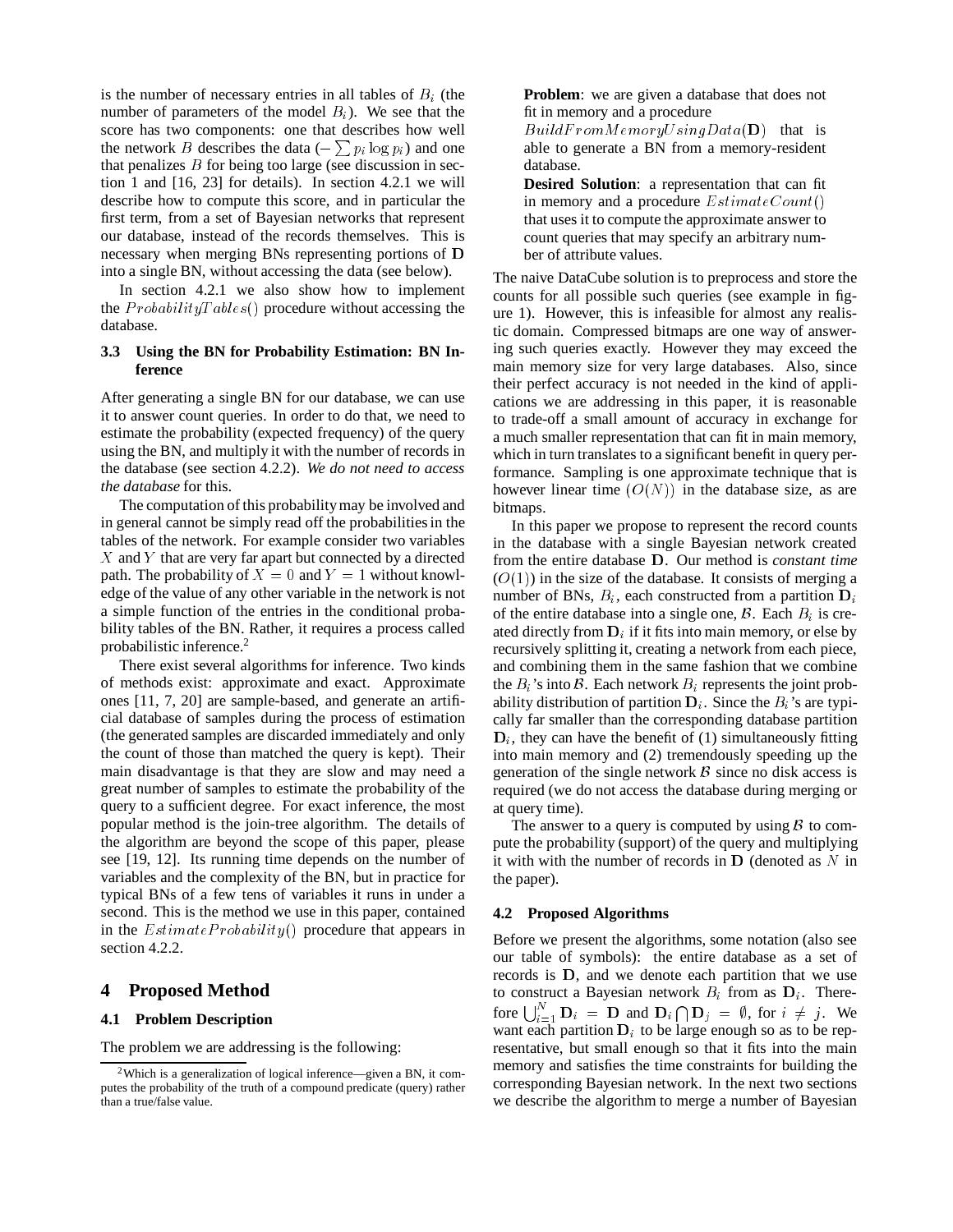is the number of necessary entries in all tables of  $B_i$  (the number of parameters of the model  $B_i$ ). We see that the score has two components: one that describes how well the network B describes the data  $(-\sum p_i \log p_i)$  and one that penalizes  $B$  for being too large (see discussion in section 1 and [16, 23] for details). In section 4.2.1 we will describe how to compute this score, and in particular the first term, from a set of Bayesian networks that represent our database, instead of the records themselves. This is necessary when merging BNs representing portions of <sup>D</sup> into a single BN, without accessing the data (see below).

In section 4.2.1 we also show how to implement the  $ProbabilityTables()$  procedure without accessing the database.

#### **3.3 Using the BN for Probability Estimation: BN Inference**

After generating a single BN for our database, we can use it to answer count queries. In order to do that, we need to estimate the probability (expected frequency) of the query using the BN, and multiply it with the number of records in the database (see section 4.2.2). *We do not need to access the database* for this.

The computation of this probabilitymay be involved and in general cannot be simply read off the probabilities in the tables of the network. For example consider two variables  $X$  and  $Y$  that are very far apart but connected by a directed path. The probability of  $X = 0$  and  $Y = 1$  without knowledge of the value of any other variable in the network is not a simple function of the entries in the conditional probability tables of the BN. Rather, it requires a process called probabilistic inference.<sup>2</sup>

There exist several algorithms for inference. Two kinds of methods exist: approximate and exact. Approximate ones [11, 7, 20] are sample-based, and generate an artificial database of samples during the process of estimation (the generated samples are discarded immediately and only the count of those than matched the query is kept). Their main disadvantage is that they are slow and may need a great number of samples to estimate the probability of the query to a sufficient degree. For exact inference, the most popular method is the join-tree algorithm. The details of the algorithm are beyond the scope of this paper, please see [19, 12]. Its running time depends on the number of variables and the complexity of the BN, but in practice for typical BNs of a few tens of variables it runs in under a second. This is the method we use in this paper, contained in the  $Estimate Probability()$  procedure that appears in section 4.2.2.

## **4 Proposed Method**

#### **4.1 Problem Description**

The problem we are addressing is the following:

**Problem**: we are given a database that does not fit in memory and a procedure

 $BuildFrom Memory Using Data(D)$  that is able to generate a BN from a memory-resident database.

**Desired Solution**: a representation that can fit in memory and a procedure  $EstimateCount()$ that uses it to compute the approximate answer to count queries that may specify an arbitrary number of attribute values.

The naive DataCube solution is to preprocess and store the counts for all possible such queries (see example in figure 1). However, this is infeasible for almost any realistic domain. Compressed bitmaps are one way of answering such queries exactly. However they may exceed the main memory size for very large databases. Also, since their perfect accuracy is not needed in the kind of applications we are addressing in this paper, it is reasonable to trade-off a small amount of accuracy in exchange for a much smaller representation that can fit in main memory, which in turn translates to a significant benefit in query performance. Sampling is one approximate technique that is however linear time  $(O(N))$  in the database size, as are bitmaps.

In this paper we propose to represent the record counts in the database with a single Bayesian network created from the entire database <sup>D</sup>. Our method is *constant time*  $(O(1))$  in the size of the database. It consists of merging a number of BNs,  $B_i$ , each constructed from a partition  $D_i$ of the entire database into a single one,  $\beta$ . Each  $B_i$  is created directly from  $D_i$  if it fits into main memory, or else by recursively splitting it, creating a network from each piece, and combining them in the same fashion that we combine the  $B_i$ 's into  $\beta$ . Each network  $B_i$  represents the joint probability distribution of partition  $D_i$ . Since the  $B_i$ 's are typically far smaller than the corresponding database partition  $D_i$ , they can have the benefit of (1) simultaneously fitting into main memory and (2) tremendously speeding up the generation of the single network  $\beta$  since no disk access is required (we do not access the database during merging or at query time).

The answer to a query is computed by using  $\beta$  to compute the probability (support) of the query and multiplying it with with the number of records in  $\bf{D}$  (denoted as N in the paper).

#### **4.2 Proposed Algorithms**

Before we present the algorithms, some notation (also see our table of symbols): the entire database as a set of records is <sup>D</sup>, and we denote each partition that we use to construct a Bayesian network  $B_i$  from as  $D_i$ . Therefore  $\bigcup_{i=1}^{N} \mathbf{D}_i = \mathbf{D}$  and  $\mathbf{D}_i \cap \mathbf{D}_j = \emptyset$ , for  $i \neq j$ . We want each partition  $D_i$  to be large enough so as to be representative, but small enough so that it fits into the main memory and satisfies the time constraints for building the corresponding Bayesian network. In the next two sections we describe the algorithm to merge a number of Bayesian

<sup>2</sup>Which is a generalization of logical inference—given a BN, it computes the probability of the truth of a compound predicate (query) rather than a true/false value.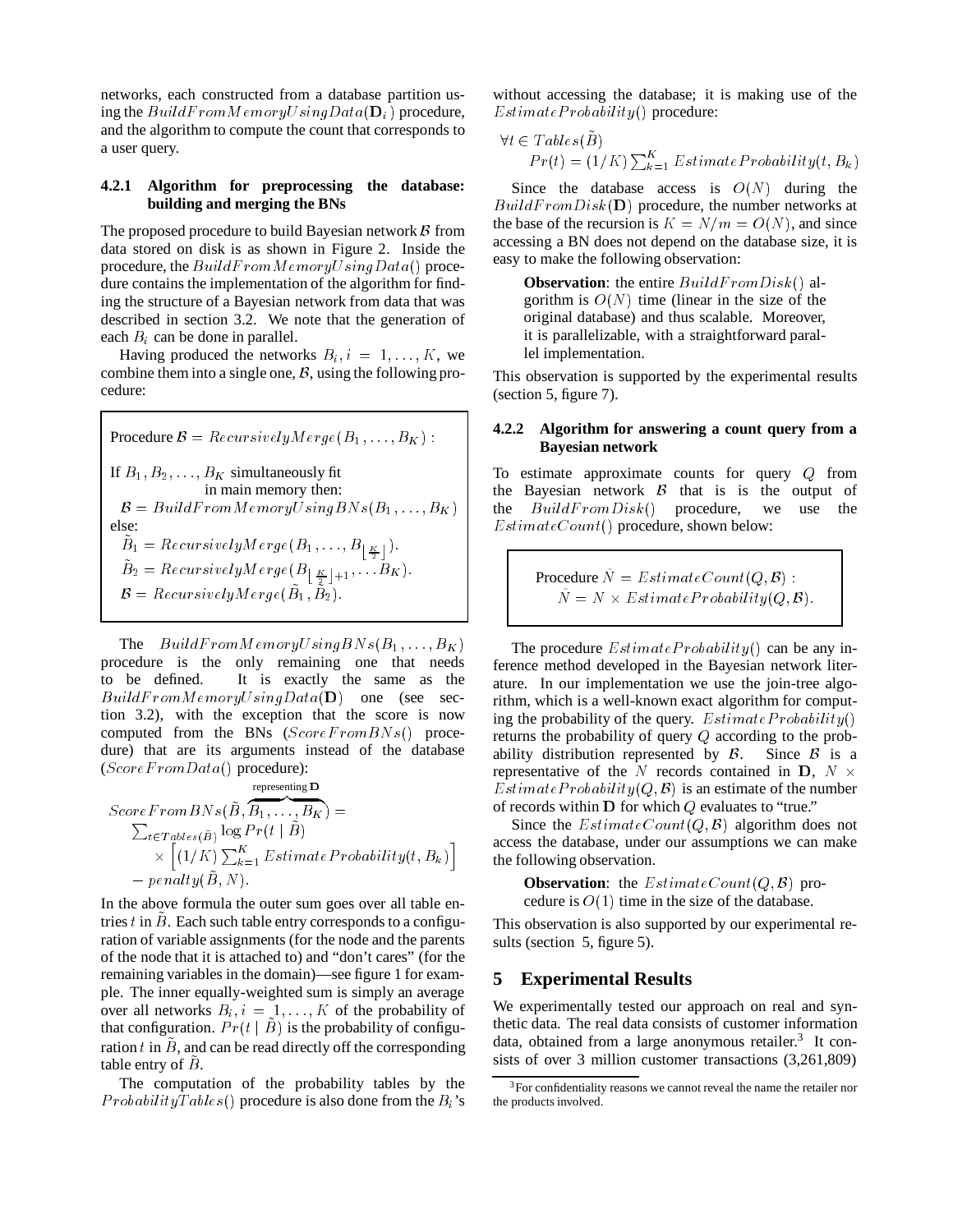networks, each constructed from a database partition using the  $BuildFromMemoryUsing Data(D<sub>i</sub>)$  procedure, and the algorithm to compute the count that corresponds to a user query.

#### **4.2.1 Algorithm for preprocessing the database: building and merging the BNs**

The proposed procedure to build Bayesian network  $\beta$  from data stored on disk is as shown in Figure 2. Inside the procedure, the  $BuildFromMemory Using Data()$  procedure contains the implementation of the algorithm for finding the structure of a Bayesian network from data that was described in section 3.2. We note that the generation of each  $B_i$  can be done in parallel.

Having produced the networks  $B_i$ ,  $i = 1, \ldots, K$ , we combine them into a single one,  $\beta$ , using the following procedure:

**Proceedure** 
$$
B = RecursivelyMerge(B_1, ..., B_K)
$$
:  
\nIf  $B_1, B_2, ..., B_K$  simultaneously fit  
\nin main memory then:  
\n $B = BuildFromMemoryUsingBNs(B_1, ..., B_K)$   
\nelse:  
\n $\tilde{B}_1 = RecursivelyMerge(B_1, ..., B_{\lfloor \frac{K}{2} \rfloor}).$   
\n $\tilde{B}_2 = RecursivelyMerge(B_{\lfloor \frac{K}{2} \rfloor+1}, ..., B_K).$   
\n $B = RecursivelyMerge(\tilde{B}_1, \tilde{B}_2).$ 

The  $BuildFrom Memory Using BNs(B_1, \ldots, B_K)$ procedure is the only remaining one that needs to be defined. It is exactly the same as the  $BuildFrom Memory Using Data(D)$  one (see section 3.2), with the exception that the score is now computed from the BNs  $(ScoreFromBNs()$  procedure) that are its arguments instead of the database  $(ScoreFrom Data()$  procedure):

$$
ScoreFromBNs(\tilde{B}, \overline{B_1, \ldots, B_K}) = \sum_{t \in Tables(\tilde{B})}^{representing \mathbf{D}} \log Pr(t | \tilde{B}) \times [(1/K) \sum_{k=1}^{K} EstimateProbability(t, B_k)] - penalty(\tilde{B}, N).
$$

In the above formula the outer sum goes over all table entries t in  $\ddot{B}$ . Each such table entry corresponds to a configuration of variable assignments (for the node and the parents of the node that it is attached to) and "don't cares" (for the remaining variables in the domain)—see figure 1 for example. The inner equally-weighted sum is simply an average over all networks  $B_i$ ,  $i = 1, ..., K$  of the probability of that configuration.  $Pr(t | \tilde{B})$  is the probability of configuration t in  $\hat{B}$ , and can be read directly off the corresponding table entry of  $\ddot{B}$ .

The computation of the probability tables by the  $Probability Tables()$  procedure is also done from the  $B_i$ 's without accessing the database; it is making use of the  $Estimate Probability()$  procedure:

$$
\forall t \in Tables(\tilde{B})
$$
  
Pr(t) = (1/K)  $\sum_{k=1}^{K} Estimate Probability(t, B_k)$ 

Since the database access is  $O(N)$  during the  $BuildFromDisk(**D**) procedure, the number networks at$ the base of the recursion is  $K = N/m = O(N)$ , and since accessing a BN does not depend on the database size, it is easy to make the following observation:

**Observation**: the entire  $BuildFromDisk()$  algorithm is  $O(N)$  time (linear in the size of the original database) and thus scalable. Moreover, it is parallelizable, with a straightforward parallel implementation.

This observation is supported by the experimental results (section 5, figure 7).

#### **4.2.2 Algorithm for answering a count query from a Bayesian network**

To estimate approximate counts for query Q from the Bayesian network  $\beta$  that is is the output of the  $BuildFromDisk()$  procedure, we use the  $EstimateCount()$  procedure, shown below:

> Procedure  $\hat{N} = EstimateCount(Q, \mathcal{B})$  :  $N = N \times EstimateProbability(Q, \mathcal{B}).$

The procedure  $Estimate Probability()$  can be any inference method developed in the Bayesian network literature. In our implementation we use the join-tree algorithm, which is a well-known exact algorithm for computing the probability of the query.  $Estimate Probability()$ returns the probability of query Q according to the probability distribution represented by  $\beta$ . Since  $\beta$  is a representative of the N records contained in D,  $N \times$ Estimate Probability $(Q, \mathcal{B})$  is an estimate of the number of records within  $D$  for which  $Q$  evaluates to "true."

Since the  $EstimateCount(Q, \mathcal{B})$  algorithm does not access the database, under our assumptions we can make the following observation.

**Observation:** the  $EstimateCount(Q, \mathcal{B})$  procedure is  $O(1)$  time in the size of the database.

This observation is also supported by our experimental results (section 5, figure 5).

### **5 Experimental Results**

We experimentally tested our approach on real and synthetic data. The real data consists of customer information data, obtained from a large anonymous retailer.<sup>3</sup> It consists of over 3 million customer transactions (3,261,809)

<sup>3</sup>For confidentiality reasons we cannot reveal the name the retailer nor the products involved.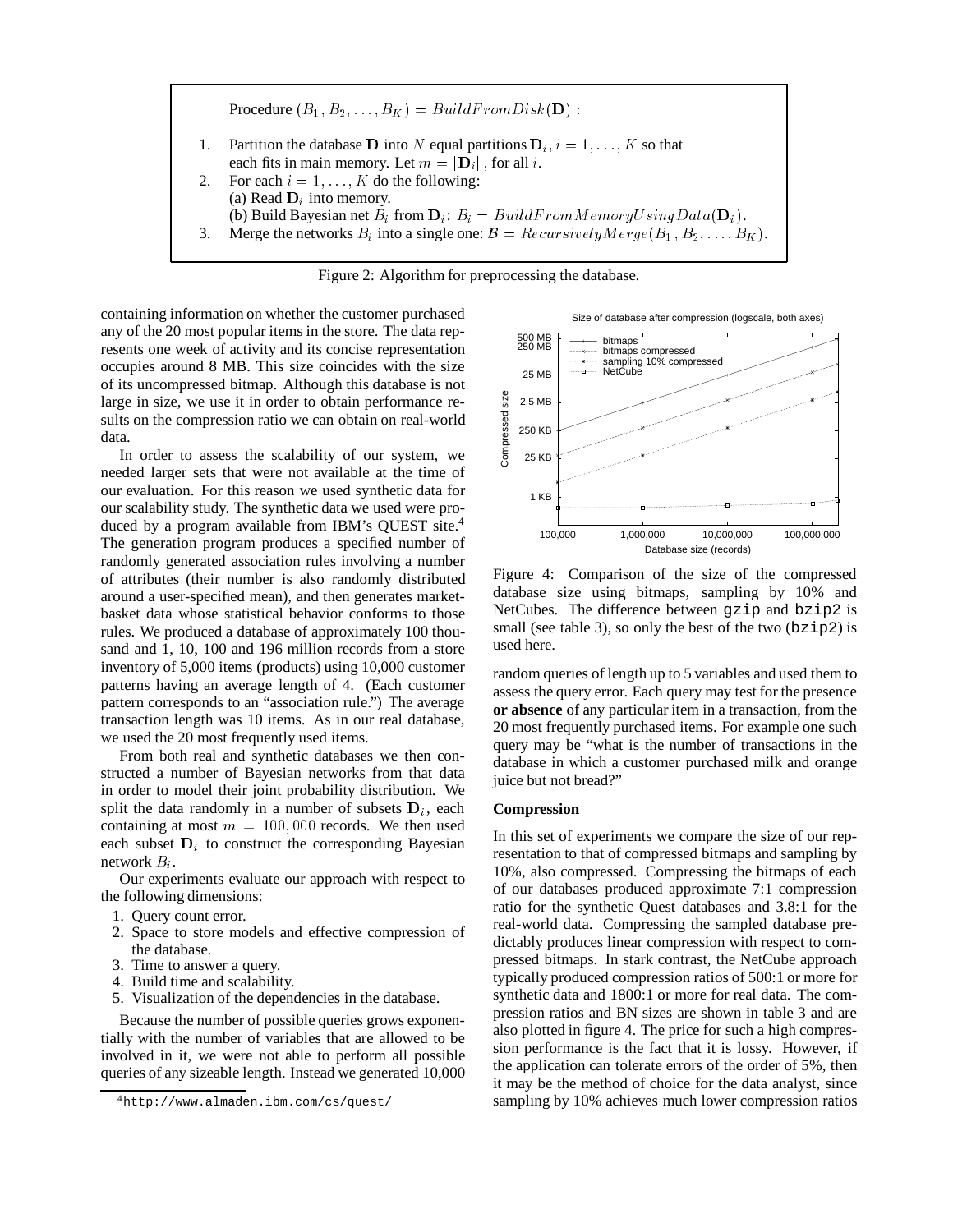



containing information on whether the customer purchased any of the 20 most popular items in the store. The data represents one week of activity and its concise representation occupies around 8 MB. This size coincides with the size of its uncompressed bitmap. Although this database is not large in size, we use it in order to obtain performance results on the compression ratio we can obtain on real-world data.

In order to assess the scalability of our system, we needed larger sets that were not available at the time of our evaluation. For this reason we used synthetic data for our scalability study. The synthetic data we used were produced by a program available from IBM's QUEST site.4 The generation program produces a specified number of randomly generated association rules involving a number of attributes (their number is also randomly distributed around a user-specified mean), and then generates marketbasket data whose statistical behavior conforms to those rules. We produced a database of approximately 100 thousand and 1, 10, 100 and 196 million records from a store inventory of 5,000 items (products) using 10,000 customer patterns having an average length of 4. (Each customer pattern corresponds to an "association rule.") The average transaction length was 10 items. As in our real database, we used the 20 most frequently used items.

From both real and synthetic databases we then constructed a number of Bayesian networks from that data in order to model their joint probability distribution. We split the data randomly in a number of subsets  $\mathbf{D}_i$ , each containing at most  $m = 100,000$  records. We then used each subset  $D_i$  to construct the corresponding Bayesian network  $B_i$ .

Our experiments evaluate our approach with respect to the following dimensions:

- 1. Query count error.
- 2. Space to store models and effective compression of the database.
- 3. Time to answer a query.
- 4. Build time and scalability.
- 5. Visualization of the dependencies in the database.

Because the number of possible queries grows exponentially with the number of variables that are allowed to be involved in it, we were not able to perform all possible queries of any sizeable length. Instead we generated 10,000

Size of database after compression (logscale, both axes)



Figure 4: Comparison of the size of the compressed database size using bitmaps, sampling by 10% and NetCubes. The difference between gzip and bzip2 is small (see table 3), so only the best of the two ( $bzip2$ ) is used here.

random queries of length up to 5 variables and used them to assess the query error. Each query may test for the presence **or absence** of any particular item in a transaction, from the 20 most frequently purchased items. For example one such query may be "what is the number of transactions in the database in which a customer purchased milk and orange juice but not bread?"

#### **Compression**

In this set of experiments we compare the size of our representation to that of compressed bitmaps and sampling by 10%, also compressed. Compressing the bitmaps of each of our databases produced approximate 7:1 compression ratio for the synthetic Quest databases and 3.8:1 for the real-world data. Compressing the sampled database predictably produces linear compression with respect to compressed bitmaps. In stark contrast, the NetCube approach typically produced compression ratios of 500:1 or more for synthetic data and 1800:1 or more for real data. The compression ratios and BN sizes are shown in table 3 and are also plotted in figure 4. The price for such a high compression performance is the fact that it is lossy. However, if the application can tolerate errors of the order of 5%, then it may be the method of choice for the data analyst, since sampling by 10% achieves much lower compression ratios

<sup>4</sup>http://www.almaden.ibm.com/cs/quest/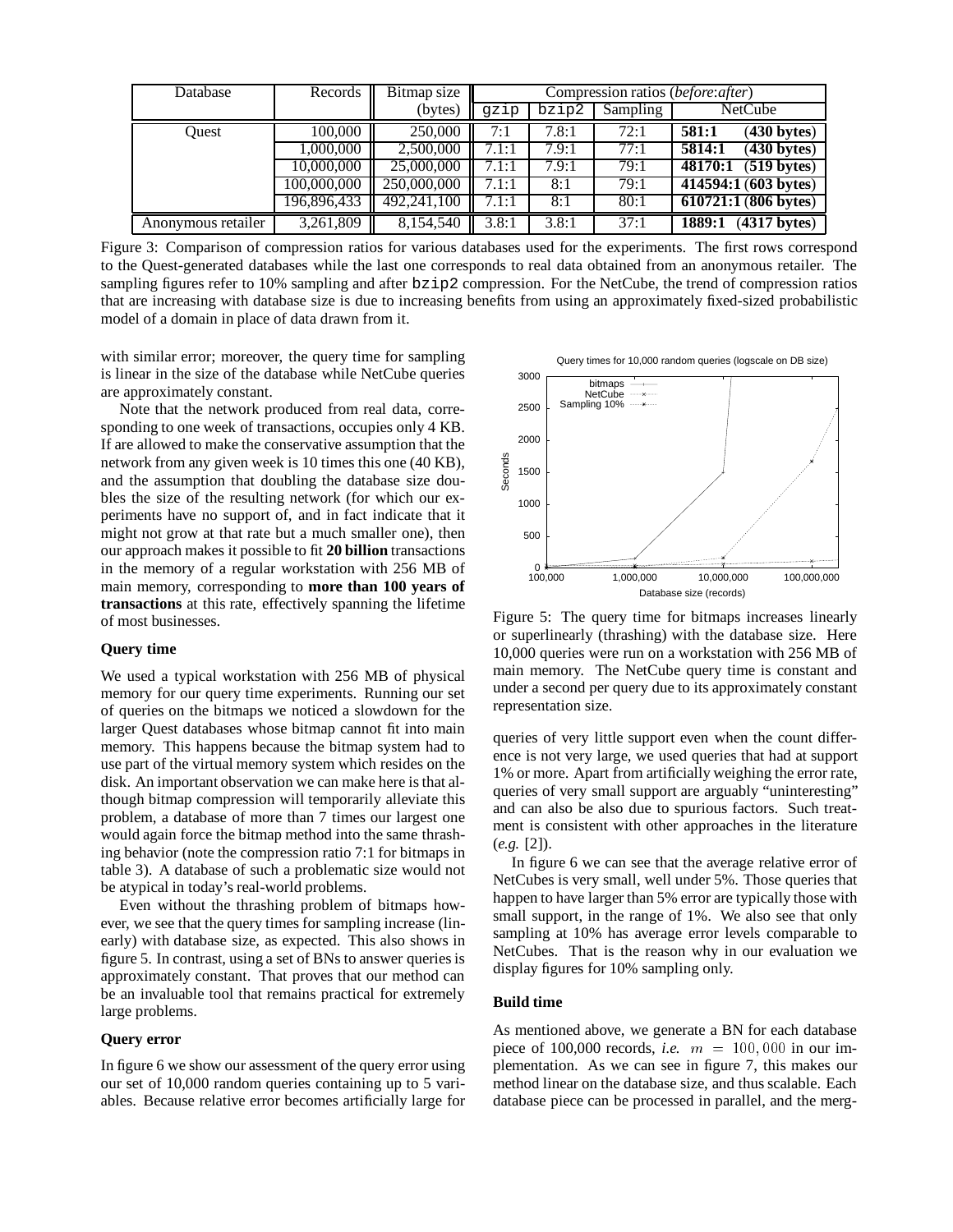| Database           | Records     | Bitmap size | Compression ratios ( <i>before:after</i> ) |       |          |                                             |
|--------------------|-------------|-------------|--------------------------------------------|-------|----------|---------------------------------------------|
|                    |             | (bytes)     | gzip                                       | bzip2 | Sampling | <b>NetCube</b>                              |
| Ouest              | 100,000     | 250,000     | 7:1                                        | 7.8:1 | 72:1     | $\overline{(430 \text{ bytes})}$<br>581:1   |
|                    | 1,000,000   | 2,500,000   | 7.1:1                                      | 7.9:1 | 77:1     | 5814:1<br>$(430 \text{ bytes})$             |
|                    | 10,000,000  | 25,000,000  | 7.1:1                                      | 7.9:1 | 79:1     | $\overline{(519 \text{ bytes})}$<br>48170:1 |
|                    | 100,000,000 | 250,000,000 | 7.1:1                                      | 8:1   | 79:1     | 414594:1(603 bytes)                         |
|                    | 196,896,433 | 492,241,100 | 7.1:1                                      | 8:1   | 80:1     | $\overline{610721:1(806 \text{ bytes})}$    |
| Anonymous retailer | 3,261,809   | 8,154,540   | 3.8:1                                      | 3.8:1 | 37:1     | $(4317$ bytes)<br>1889:1                    |

Figure 3: Comparison of compression ratios for various databases used for the experiments. The first rows correspond to the Quest-generated databases while the last one corresponds to real data obtained from an anonymous retailer. The sampling figures refer to 10% sampling and after  $bzip2$  compression. For the NetCube, the trend of compression ratios that are increasing with database size is due to increasing benefits from using an approximately fixed-sized probabilistic model of a domain in place of data drawn from it.

with similar error; moreover, the query time for sampling is linear in the size of the database while NetCube queries are approximately constant.

Note that the network produced from real data, corresponding to one week of transactions, occupies only 4 KB. If are allowed to make the conservative assumption that the network from any given week is 10 times this one (40 KB), and the assumption that doubling the database size doubles the size of the resulting network (for which our experiments have no support of, and in fact indicate that it might not grow at that rate but a much smaller one), then our approach makes it possible to fit **20 billion** transactions in the memory of a regular workstation with 256 MB of main memory, corresponding to **more than 100 years of transactions** at this rate, effectively spanning the lifetime of most businesses.

#### **Query time**

We used a typical workstation with 256 MB of physical memory for our query time experiments. Running our set of queries on the bitmaps we noticed a slowdown for the larger Quest databases whose bitmap cannot fit into main memory. This happens because the bitmap system had to use part of the virtual memory system which resides on the disk. An important observation we can make here is that although bitmap compression will temporarily alleviate this problem, a database of more than 7 times our largest one would again force the bitmap method into the same thrashing behavior (note the compression ratio 7:1 for bitmaps in table 3). A database of such a problematic size would not be atypical in today's real-world problems.

Even without the thrashing problem of bitmaps however, we see that the query times for sampling increase (linearly) with database size, as expected. This also shows in figure 5. In contrast, using a set of BNs to answer queries is approximately constant. That proves that our method can be an invaluable tool that remains practical for extremely large problems.

#### **Query error**

In figure 6 we show our assessment of the query error using our set of 10,000 random queries containing up to 5 variables. Because relative error becomes artificially large for

Query times for 10,000 random queries (logscale on DB size)



Figure 5: The query time for bitmaps increases linearly or superlinearly (thrashing) with the database size. Here 10,000 queries were run on a workstation with 256 MB of main memory. The NetCube query time is constant and under a second per query due to its approximately constant representation size.

queries of very little support even when the count difference is not very large, we used queries that had at support 1% or more. Apart from artificially weighing the error rate, queries of very small support are arguably "uninteresting" and can also be also due to spurious factors. Such treatment is consistent with other approaches in the literature (*e.g.* [2]).

In figure 6 we can see that the average relative error of NetCubes is very small, well under 5%. Those queries that happen to have larger than 5% error are typically those with small support, in the range of 1%. We also see that only sampling at 10% has average error levels comparable to NetCubes. That is the reason why in our evaluation we display figures for 10% sampling only.

#### **Build time**

As mentioned above, we generate a BN for each database piece of 100,000 records, *i.e.*  $m = 100,000$  in our implementation. As we can see in figure 7, this makes our method linear on the database size, and thus scalable. Each database piece can be processed in parallel, and the merg-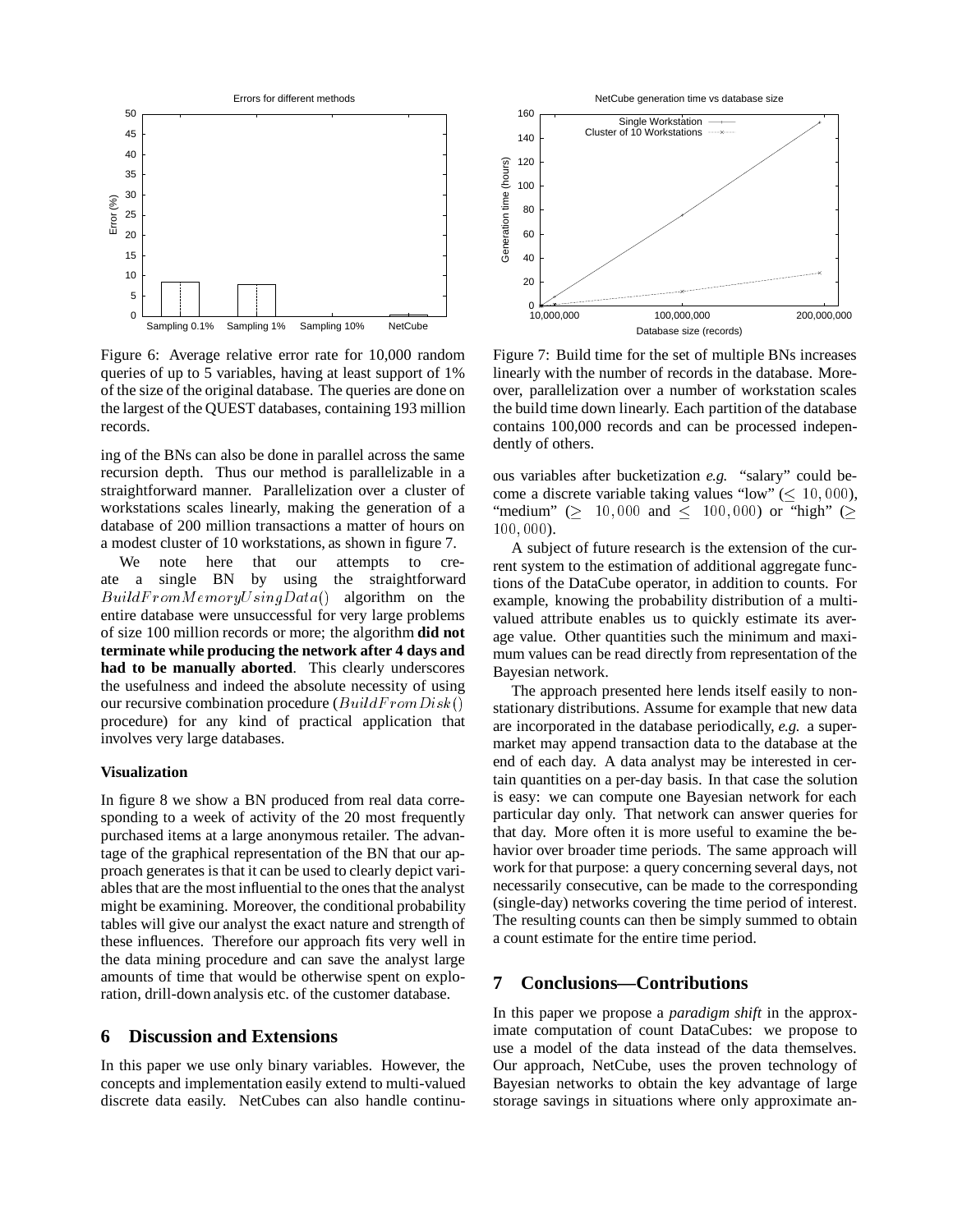

Figure 6: Average relative error rate for 10,000 random queries of up to 5 variables, having at least support of 1% of the size of the original database. The queries are done on the largest of the QUEST databases, containing 193 million records.

ing of the BNs can also be done in parallel across the same recursion depth. Thus our method is parallelizable in a straightforward manner. Parallelization over a cluster of workstations scales linearly, making the generation of a database of 200 million transactions a matter of hours on a modest cluster of 10 workstations, as shown in figure 7.

We note here that our attempts to create a single BN by using the straightforward  $BuildFrom Memory Using Data()$  algorithm on the entire database were unsuccessful for very large problems of size 100 million records or more; the algorithm **did not terminate while producing the network after 4 days and had to be manually aborted**. This clearly underscores the usefulness and indeed the absolute necessity of using our recursive combination procedure  $(BuildFromDisk)$ procedure) for any kind of practical application that involves very large databases.

#### **Visualization**

In figure 8 we show a BN produced from real data corresponding to a week of activity of the 20 most frequently purchased items at a large anonymous retailer. The advantage of the graphical representation of the BN that our approach generates is that it can be used to clearly depict variables that are the most influential to the ones that the analyst might be examining. Moreover, the conditional probability tables will give our analyst the exact nature and strength of these influences. Therefore our approach fits very well in the data mining procedure and can save the analyst large amounts of time that would be otherwise spent on exploration, drill-down analysis etc. of the customer database.

#### **6 Discussion and Extensions**

In this paper we use only binary variables. However, the concepts and implementation easily extend to multi-valued discrete data easily. NetCubes can also handle continu-



Figure 7: Build time for the set of multiple BNs increases linearly with the number of records in the database. Moreover, parallelization over a number of workstation scales the build time down linearly. Each partition of the database contains 100,000 records and can be processed independently of others.

ous variables after bucketization *e.g.* "salary" could become a discrete variable taking values "low" ( $\leq 10,000$ ), "medium" ( $\geq 10,000$  and  $\leq 100,000$ ) or "high" ( $\geq$ 100; <sup>000</sup>).

A subject of future research is the extension of the current system to the estimation of additional aggregate functions of the DataCube operator, in addition to counts. For example, knowing the probability distribution of a multivalued attribute enables us to quickly estimate its average value. Other quantities such the minimum and maximum values can be read directly from representation of the Bayesian network.

The approach presented here lends itself easily to nonstationary distributions. Assume for example that new data are incorporated in the database periodically, *e.g.* a supermarket may append transaction data to the database at the end of each day. A data analyst may be interested in certain quantities on a per-day basis. In that case the solution is easy: we can compute one Bayesian network for each particular day only. That network can answer queries for that day. More often it is more useful to examine the behavior over broader time periods. The same approach will work for that purpose: a query concerning several days, not necessarily consecutive, can be made to the corresponding (single-day) networks covering the time period of interest. The resulting counts can then be simply summed to obtain a count estimate for the entire time period.

# **7 Conclusions—Contributions**

In this paper we propose a *paradigm shift* in the approximate computation of count DataCubes: we propose to use a model of the data instead of the data themselves. Our approach, NetCube, uses the proven technology of Bayesian networks to obtain the key advantage of large storage savings in situations where only approximate an-